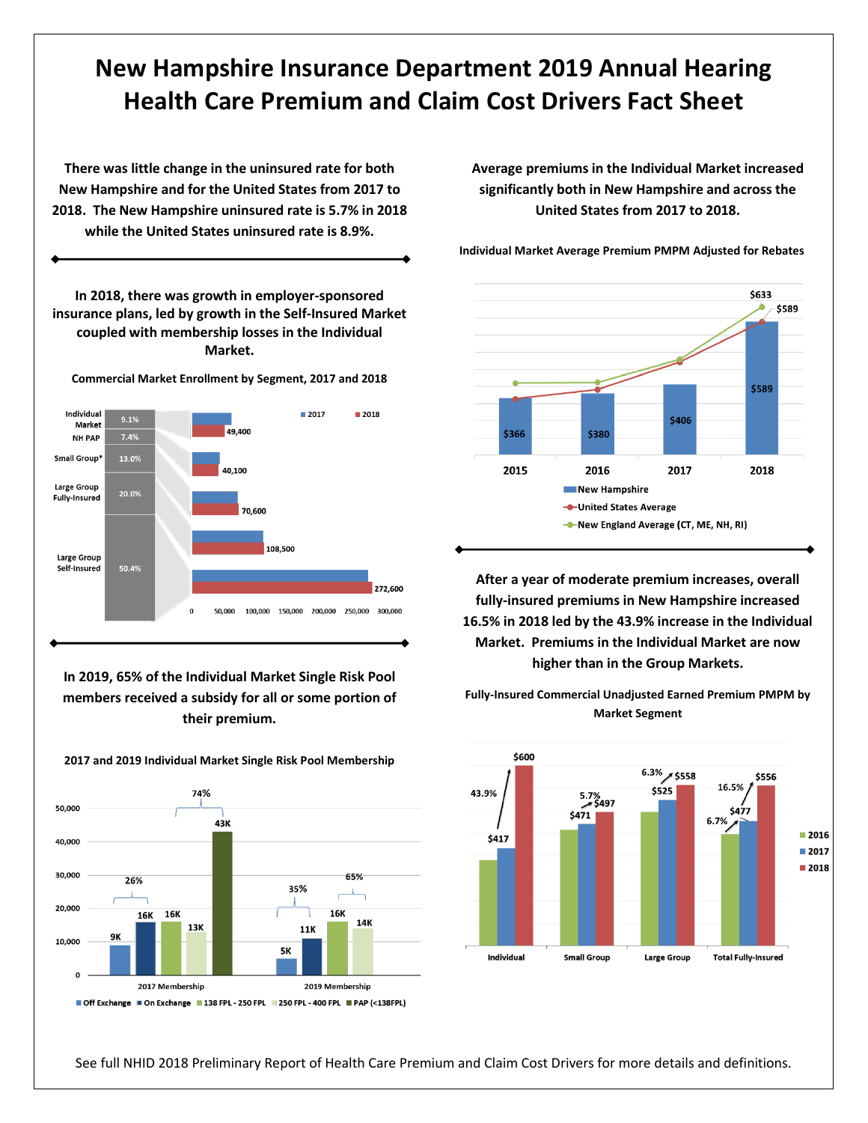## **New Hampshire Insurance Department 2019 Annual Hearing Health Care Premium and Claim Cost Drivers Fact Sheet**

**There was little change in the uninsured rate for both New Hampshire and for the United States from 2017 to 2018. The New Hampshire uninsured rate is 5.7% in 2018 while the United States uninsured rate is 8.9%.**

**In 2018, there was growth in employer-sponsored insurance plans, led by growth in the Self-Insured Market coupled with membership losses in the Individual Market.**

**Commercial Market Enrollment by Segment, 2017 and 2018**



**In 2019, 65% of the Individual Market Single Risk Pool members received a subsidy for all or some portion of their premium.** 

74% 50,000 43K 40,000 30,000 65% 26% 35% Λ. 20,000 16K 16K 16K 14K 13K 11K 9Κ 10,000 5K O 2017 Membership 2019 Membership Off Exchange On Exchange 138 FPL - 250 FPL 250 FPL - 400 FPL PAP (<138 FPL)

**2017 and 2019 Individual Market Single Risk Pool Membership**

**Average premiums in the Individual Market increased significantly both in New Hampshire and across the United States from 2017 to 2018.** 



**Individual Market Average Premium PMPM Adjusted for Rebates**

**After a year of moderate premium increases, overall fully-insured premiums in New Hampshire increased 16.5% in 2018 led by the 43.9% increase in the Individual Market. Premiums in the Individual Market are now higher than in the Group Markets.**



**Fully-Insured Commercial Unadjusted Earned Premium PMPM by Market Segment**

See full NHID 2018 Preliminary Report of Health Care Premium and Claim Cost Drivers for more details and definitions.